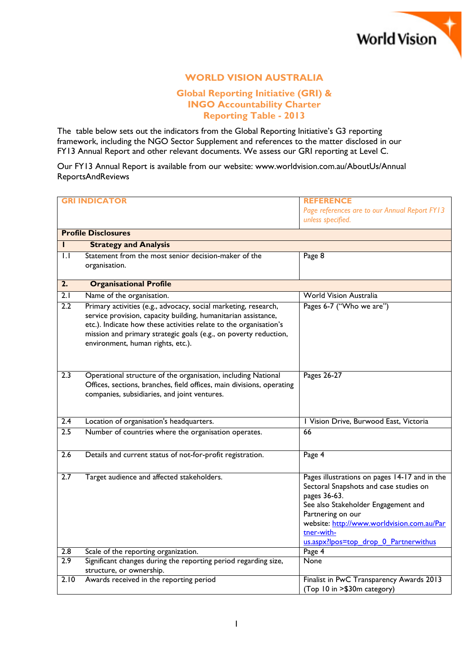

## **WORLD VISION AUSTRALIA**

## **Global Reporting Initiative (GRI) & INGO Accountability Charter Reporting Table - 2013**

The table below sets out the indicators from the Global Reporting Initiative's G3 reporting framework, including the NGO Sector Supplement and references to the matter disclosed in our FY13 Annual Report and other relevant documents. We assess our GRI reporting at Level C.

Our FY13 Annual Report is available from our website: www.worldvision.com.au/AboutUs/Annual ReportsAndReviews

|                  | <b>GRI INDICATOR</b>                                                                                                                                                                                                                                                                                            | <b>REFERENCE</b>                                                                                                                                                                                                                                                         |
|------------------|-----------------------------------------------------------------------------------------------------------------------------------------------------------------------------------------------------------------------------------------------------------------------------------------------------------------|--------------------------------------------------------------------------------------------------------------------------------------------------------------------------------------------------------------------------------------------------------------------------|
|                  |                                                                                                                                                                                                                                                                                                                 | Page references are to our Annual Report FY13                                                                                                                                                                                                                            |
|                  |                                                                                                                                                                                                                                                                                                                 | unless specified.                                                                                                                                                                                                                                                        |
|                  | <b>Profile Disclosures</b>                                                                                                                                                                                                                                                                                      |                                                                                                                                                                                                                                                                          |
| н                | <b>Strategy and Analysis</b>                                                                                                                                                                                                                                                                                    |                                                                                                                                                                                                                                                                          |
| $\mathsf{L}$     | Statement from the most senior decision-maker of the                                                                                                                                                                                                                                                            | Page 8                                                                                                                                                                                                                                                                   |
|                  | organisation.                                                                                                                                                                                                                                                                                                   |                                                                                                                                                                                                                                                                          |
| $\overline{2}$ . | <b>Organisational Profile</b>                                                                                                                                                                                                                                                                                   |                                                                                                                                                                                                                                                                          |
| 2.1              | Name of the organisation.                                                                                                                                                                                                                                                                                       | <b>World Vision Australia</b>                                                                                                                                                                                                                                            |
| 2.2              | Primary activities (e.g., advocacy, social marketing, research,<br>service provision, capacity building, humanitarian assistance,<br>etc.). Indicate how these activities relate to the organisation's<br>mission and primary strategic goals (e.g., on poverty reduction,<br>environment, human rights, etc.). | Pages 6-7 ("Who we are")                                                                                                                                                                                                                                                 |
| 2.3              | Operational structure of the organisation, including National<br>Offices, sections, branches, field offices, main divisions, operating<br>companies, subsidiaries, and joint ventures.                                                                                                                          | Pages 26-27                                                                                                                                                                                                                                                              |
| 2.4              | Location of organisation's headquarters.                                                                                                                                                                                                                                                                        | I Vision Drive, Burwood East, Victoria                                                                                                                                                                                                                                   |
| 2.5              | Number of countries where the organisation operates.                                                                                                                                                                                                                                                            | 66                                                                                                                                                                                                                                                                       |
| 2.6              | Details and current status of not-for-profit registration.                                                                                                                                                                                                                                                      | Page 4                                                                                                                                                                                                                                                                   |
| 2.7              | Target audience and affected stakeholders.                                                                                                                                                                                                                                                                      | Pages illustrations on pages 14-17 and in the<br>Sectoral Snapshots and case studies on<br>pages 36-63.<br>See also Stakeholder Engagement and<br>Partnering on our<br>website: http://www.worldvision.com.au/Par<br>tner-with-<br>us.aspx?lpos=top_drop_0_Partnerwithus |
| 2.8              | Scale of the reporting organization.                                                                                                                                                                                                                                                                            | Page 4                                                                                                                                                                                                                                                                   |
| 2.9              | Significant changes during the reporting period regarding size,<br>structure, or ownership.                                                                                                                                                                                                                     | None                                                                                                                                                                                                                                                                     |
| 2.10             | Awards received in the reporting period                                                                                                                                                                                                                                                                         | Finalist in PwC Transparency Awards 2013<br>(Top 10 in > \$30m category)                                                                                                                                                                                                 |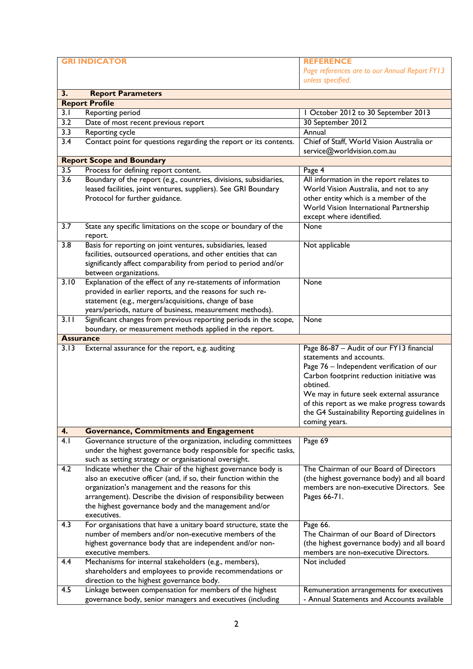|                  | <b>GRI INDICATOR</b>                                              | <b>REFERENCE</b><br>Page references are to our Annual Report FY13<br>unless specified. |
|------------------|-------------------------------------------------------------------|----------------------------------------------------------------------------------------|
| 3.               | <b>Report Parameters</b>                                          |                                                                                        |
|                  | <b>Report Profile</b>                                             |                                                                                        |
|                  |                                                                   |                                                                                        |
| 3.1              | Reporting period                                                  | I October 2012 to 30 September 2013                                                    |
| 3.2              | Date of most recent previous report                               | 30 September 2012                                                                      |
| 3.3              | <b>Reporting cycle</b>                                            | Annual                                                                                 |
| $\overline{3.4}$ | Contact point for questions regarding the report or its contents. | Chief of Staff, World Vision Australia or<br>service@worldvision.com.au                |
|                  | <b>Report Scope and Boundary</b>                                  |                                                                                        |
| 3.5              | Process for defining report content.                              | Page 4                                                                                 |
| 3.6              | Boundary of the report (e.g., countries, divisions, subsidiaries, | All information in the report relates to                                               |
|                  | leased facilities, joint ventures, suppliers). See GRI Boundary   | World Vision Australia, and not to any                                                 |
|                  | Protocol for further guidance.                                    | other entity which is a member of the                                                  |
|                  |                                                                   | World Vision International Partnership                                                 |
|                  |                                                                   | except where identified.                                                               |
| 3.7              | State any specific limitations on the scope or boundary of the    | None                                                                                   |
|                  | report.                                                           |                                                                                        |
| $\overline{3.8}$ | Basis for reporting on joint ventures, subsidiaries, leased       | Not applicable                                                                         |
|                  | facilities, outsourced operations, and other entities that can    |                                                                                        |
|                  | significantly affect comparability from period to period and/or   |                                                                                        |
|                  | between organizations.                                            |                                                                                        |
| 3.10             | Explanation of the effect of any re-statements of information     | None                                                                                   |
|                  | provided in earlier reports, and the reasons for such re-         |                                                                                        |
|                  | statement (e.g., mergers/acquisitions, change of base             |                                                                                        |
|                  |                                                                   |                                                                                        |
|                  | years/periods, nature of business, measurement methods).          |                                                                                        |
| 3.11             | Significant changes from previous reporting periods in the scope, | None                                                                                   |
|                  | boundary, or measurement methods applied in the report.           |                                                                                        |
| <b>Assurance</b> |                                                                   |                                                                                        |
| 3.13             | External assurance for the report, e.g. auditing                  | Page 86-87 - Audit of our FY13 financial                                               |
|                  |                                                                   | statements and accounts.                                                               |
|                  |                                                                   | Page 76 - Independent verification of our                                              |
|                  |                                                                   | Carbon footprint reduction initiative was                                              |
|                  |                                                                   | obtined.                                                                               |
|                  |                                                                   | We may in future seek external assurance                                               |
|                  |                                                                   | of this report as we make progress towards                                             |
|                  |                                                                   | the G4 Sustainability Reporting guidelines in                                          |
|                  |                                                                   | coming years.                                                                          |
| 4.               | <b>Governance, Commitments and Engagement</b>                     |                                                                                        |
| 4.1              | Governance structure of the organization, including committees    | Page 69                                                                                |
|                  | under the highest governance body responsible for specific tasks, |                                                                                        |
|                  | such as setting strategy or organisational oversight.             |                                                                                        |
| 4.2              | Indicate whether the Chair of the highest governance body is      | The Chairman of our Board of Directors                                                 |
|                  | also an executive officer (and, if so, their function within the  | (the highest governance body) and all board                                            |
|                  |                                                                   |                                                                                        |
|                  | organization's management and the reasons for this                | members are non-executive Directors. See                                               |
|                  | arrangement). Describe the division of responsibility between     | Pages 66-71.                                                                           |
|                  | the highest governance body and the management and/or             |                                                                                        |
|                  | executives.                                                       |                                                                                        |
| 4.3              | For organisations that have a unitary board structure, state the  | Page 66.                                                                               |
|                  | number of members and/or non-executive members of the             | The Chairman of our Board of Directors                                                 |
|                  | highest governance body that are independent and/or non-          | (the highest governance body) and all board                                            |
|                  | executive members.                                                | members are non-executive Directors.                                                   |
| 4.4              | Mechanisms for internal stakeholders (e.g., members),             | Not included                                                                           |
|                  | shareholders and employees to provide recommendations or          |                                                                                        |
|                  | direction to the highest governance body.                         |                                                                                        |
| 4.5              | Linkage between compensation for members of the highest           | Remuneration arrangements for executives                                               |
|                  | governance body, senior managers and executives (including        | - Annual Statements and Accounts available                                             |
|                  |                                                                   |                                                                                        |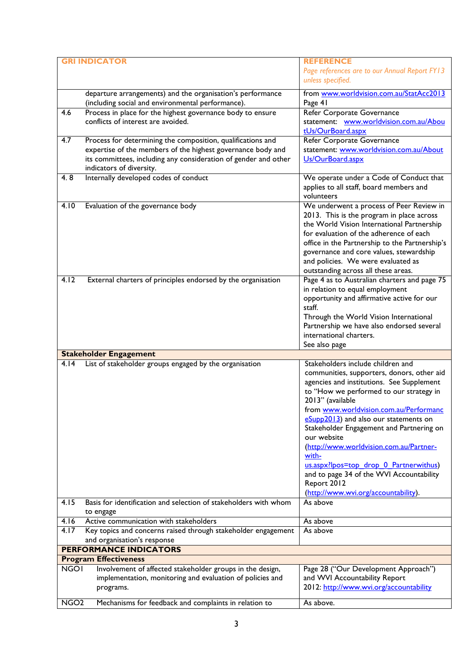|                               | <b>INDICATOR</b>                                                                                 | <b>REFERENCE</b>                                                                        |  |  |
|-------------------------------|--------------------------------------------------------------------------------------------------|-----------------------------------------------------------------------------------------|--|--|
|                               |                                                                                                  | Page references are to our Annual Report FY13                                           |  |  |
|                               |                                                                                                  | unless specified.                                                                       |  |  |
|                               |                                                                                                  |                                                                                         |  |  |
|                               | departure arrangements) and the organisation's performance                                       | from www.worldvision.com.au/StatAcc2013                                                 |  |  |
|                               | (including social and environmental performance).                                                | Page 41                                                                                 |  |  |
| 4.6                           | Process in place for the highest governance body to ensure<br>conflicts of interest are avoided. | Refer Corporate Governance<br>statement: www.worldvision.com.au/Abou                    |  |  |
|                               |                                                                                                  | tUs/OurBoard.aspx                                                                       |  |  |
| 4.7                           | Process for determining the composition, qualifications and                                      | Refer Corporate Governance                                                              |  |  |
|                               | expertise of the members of the highest governance body and                                      | statement: www.worldvision.com.au/About                                                 |  |  |
|                               | its committees, including any consideration of gender and other                                  | Us/OurBoard.aspx                                                                        |  |  |
|                               | indicators of diversity.                                                                         |                                                                                         |  |  |
| 4.8                           | Internally developed codes of conduct                                                            | We operate under a Code of Conduct that                                                 |  |  |
|                               |                                                                                                  | applies to all staff, board members and                                                 |  |  |
|                               |                                                                                                  | volunteers                                                                              |  |  |
| 4.10                          | Evaluation of the governance body                                                                | We underwent a process of Peer Review in                                                |  |  |
|                               |                                                                                                  | 2013. This is the program in place across                                               |  |  |
|                               |                                                                                                  | the World Vision International Partnership                                              |  |  |
|                               |                                                                                                  | for evaluation of the adherence of each                                                 |  |  |
|                               |                                                                                                  | office in the Partnership to the Partnership's                                          |  |  |
|                               |                                                                                                  | governance and core values, stewardship                                                 |  |  |
|                               |                                                                                                  | and policies. We were evaluated as                                                      |  |  |
|                               |                                                                                                  | outstanding across all these areas.                                                     |  |  |
| 4.12                          | External charters of principles endorsed by the organisation                                     | Page 4 as to Australian charters and page 75                                            |  |  |
|                               |                                                                                                  | in relation to equal employment                                                         |  |  |
|                               |                                                                                                  | opportunity and affirmative active for our                                              |  |  |
|                               |                                                                                                  | staff.                                                                                  |  |  |
|                               |                                                                                                  | Through the World Vision International                                                  |  |  |
|                               |                                                                                                  | Partnership we have also endorsed several                                               |  |  |
|                               |                                                                                                  | international charters.                                                                 |  |  |
|                               |                                                                                                  | See also page                                                                           |  |  |
|                               | <b>Stakeholder Engagement</b>                                                                    | Stakeholders include children and                                                       |  |  |
| 4.14                          | List of stakeholder groups engaged by the organisation                                           |                                                                                         |  |  |
|                               |                                                                                                  | communities, supporters, donors, other aid<br>agencies and institutions. See Supplement |  |  |
|                               |                                                                                                  | to "How we performed to our strategy in                                                 |  |  |
|                               |                                                                                                  | 2013" (available                                                                        |  |  |
|                               |                                                                                                  | from www.worldvision.com.au/Performanc                                                  |  |  |
|                               |                                                                                                  | eSupp2013) and also our statements on                                                   |  |  |
|                               |                                                                                                  | Stakeholder Engagement and Partnering on                                                |  |  |
|                               |                                                                                                  | our website                                                                             |  |  |
|                               |                                                                                                  | (http://www.worldvision.com.au/Partner-                                                 |  |  |
|                               |                                                                                                  | with-                                                                                   |  |  |
|                               |                                                                                                  | us.aspx?lpos=top_drop_0_Partnerwithus)                                                  |  |  |
|                               |                                                                                                  | and to page 34 of the WVI Accountability                                                |  |  |
|                               |                                                                                                  | Report 2012                                                                             |  |  |
|                               |                                                                                                  | (http://www.wvi.org/accountability).                                                    |  |  |
| 4.15                          | Basis for identification and selection of stakeholders with whom                                 | As above                                                                                |  |  |
|                               | to engage                                                                                        |                                                                                         |  |  |
| 4.16                          | Active communication with stakeholders                                                           | As above                                                                                |  |  |
| 4.17                          | Key topics and concerns raised through stakeholder engagement                                    | As above                                                                                |  |  |
|                               | and organisation's response                                                                      |                                                                                         |  |  |
| <b>PERFORMANCE INDICATORS</b> |                                                                                                  |                                                                                         |  |  |
|                               | <b>Program Effectiveness</b>                                                                     |                                                                                         |  |  |
| <b>NGOI</b>                   | Involvement of affected stakeholder groups in the design,                                        | Page 28 ("Our Development Approach")                                                    |  |  |
|                               | implementation, monitoring and evaluation of policies and                                        | and WVI Accountability Report                                                           |  |  |
|                               | programs.                                                                                        | 2012: http://www.wvi.org/accountability                                                 |  |  |
| NGO <sub>2</sub>              | Mechanisms for feedback and complaints in relation to                                            | As above.                                                                               |  |  |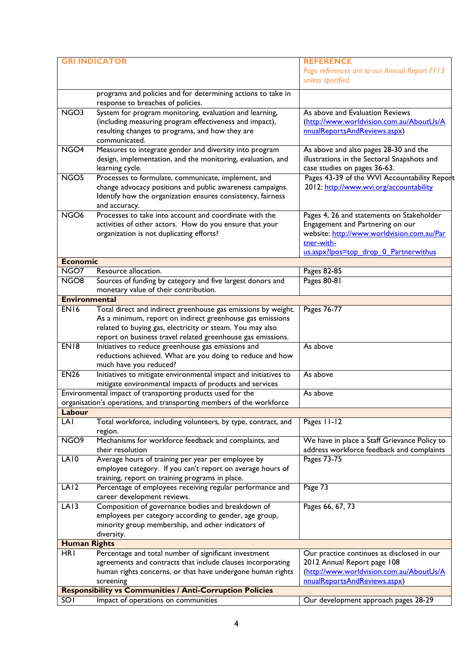| <b>GRI INDICATOR</b> |                                                                                  | <b>REFERENCE</b>                              |
|----------------------|----------------------------------------------------------------------------------|-----------------------------------------------|
|                      |                                                                                  | Page references are to our Annual Report FY13 |
|                      |                                                                                  | unless specified.                             |
|                      | programs and policies and for determining actions to take in                     |                                               |
|                      | response to breaches of policies.                                                |                                               |
| NGO <sub>3</sub>     | System for program monitoring, evaluation and learning,                          | As above and Evaluation Reviews               |
|                      | (including measuring program effectiveness and impact),                          | (http://www.worldvision.com.au/AboutUs/A      |
|                      | resulting changes to programs, and how they are                                  | nnualReportsAndReviews.aspx)                  |
|                      | communicated.                                                                    |                                               |
| NGO <sub>4</sub>     | Measures to integrate gender and diversity into program                          | As above and also pages 28-30 and the         |
|                      | design, implementation, and the monitoring, evaluation, and                      | illustrations in the Sectoral Snapshots and   |
|                      | learning cycle.                                                                  | case studies on pages 36-63.                  |
| NGO <sub>5</sub>     | Processes to formulate, communicate, implement, and                              | Pages 43-39 of the WVI Accountability Report  |
|                      | change advocacy positions and public awareness campaigns.                        | 2012: http://www.wvi.org/accountability       |
|                      | Identify how the organization ensures consistency, fairness                      |                                               |
|                      | and accuracy.                                                                    |                                               |
| NGO <sub>6</sub>     | Processes to take into account and coordinate with the                           | Pages 4, 26 and statements on Stakeholder     |
|                      | activities of other actors. How do you ensure that your                          | Engagement and Partnering on our              |
|                      | organization is not duplicating efforts?                                         | website: http://www.worldvision.com.au/Par    |
|                      |                                                                                  | tner-with-                                    |
|                      |                                                                                  | us.aspx?lpos=top_drop_0_Partnerwithus         |
| <b>Economic</b>      |                                                                                  |                                               |
| NGO7                 | Resource allocation.                                                             | Pages 82-85                                   |
| NGO <sub>8</sub>     | Sources of funding by category and five largest donors and                       | Pages 80-81                                   |
|                      | monetary value of their contribution.                                            |                                               |
| <b>Environmental</b> |                                                                                  |                                               |
| EN <sub>16</sub>     | Total direct and indirect greenhouse gas emissions by weight.                    | Pages 76-77                                   |
|                      | As a minimum, report on indirect greenhouse gas emissions                        |                                               |
|                      | related to buying gas, electricity or steam. You may also                        |                                               |
|                      | report on business travel related greenhouse gas emissions.                      |                                               |
| EN18                 | Initiatives to reduce greenhouse gas emissions and                               | As above                                      |
|                      | reductions achieved. What are you doing to reduce and how                        |                                               |
|                      | much have you reduced?                                                           |                                               |
| EN26                 | Initiatives to mitigate environmental impact and initiatives to                  | As above                                      |
|                      | mitigate environmental impacts of products and services                          |                                               |
|                      | Environmental impact of transporting products used for the                       | As above                                      |
|                      | organisation's operations, and transporting members of the workforce             |                                               |
| Labour               |                                                                                  |                                               |
| LAI                  | Total workforce, including volunteers, by type, contract, and                    | Pages 11-12                                   |
|                      | region.                                                                          |                                               |
| NGO <sub>9</sub>     | Mechanisms for workforce feedback and complaints, and                            | We have in place a Staff Grievance Policy to  |
|                      | their resolution                                                                 | address workforce feedback and complaints     |
| LA10                 | Average hours of training per year per employee by                               | Pages 73-75                                   |
|                      | employee category. If you can't report on average hours of                       |                                               |
|                      | training, report on training programs in place.                                  |                                               |
| LA12                 | Percentage of employees receiving regular performance and                        | Page 73                                       |
| LA13                 | career development reviews.<br>Composition of governance bodies and breakdown of | Pages 66, 67, 73                              |
|                      |                                                                                  |                                               |
|                      | employees per category according to gender, age group,                           |                                               |
|                      | minority group membership, and other indicators of                               |                                               |
| <b>Human Rights</b>  | diversity.                                                                       |                                               |
| <b>HRI</b>           | Percentage and total number of significant investment                            | Our practice continues as disclosed in our    |
|                      | agreements and contracts that include clauses incorporating                      | 2012 Annual Report page 108                   |
|                      | human rights concerns, or that have undergone human rights                       | (http://www.worldvision.com.au/AboutUs/A      |
|                      | screening                                                                        | nnualReportsAndReviews.aspx)                  |
|                      | <b>Responsibility vs Communities / Anti-Corruption Policies</b>                  |                                               |
| SOI                  | Impact of operations on communities                                              | Our development approach pages 28-29          |
|                      |                                                                                  |                                               |